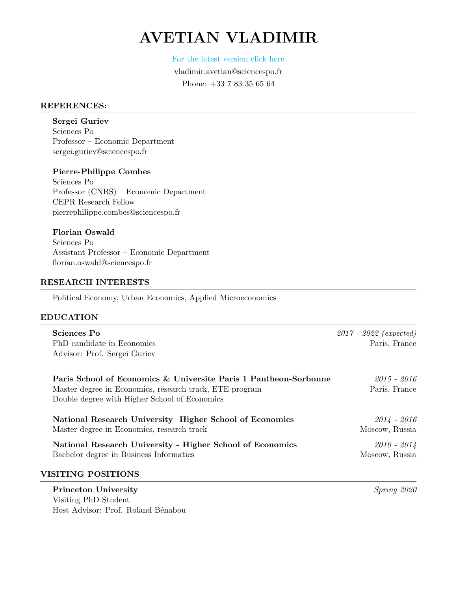# AVETIAN VLADIMIR

[For the latest version click here](https://vladimir-avetian.github.io/pdfs/cv.pdf)

vladimir.avetian@sciencespo.fr Phone: +33 7 83 35 65 64

#### REFERENCES:

Sergei Guriev Sciences Po Professor – Economic Department sergei.guriev@sciencespo.fr

Pierre-Philippe Combes Sciences Po Professor (CNRS) – Economic Department CEPR Research Fellow pierrephilippe.combes@sciencespo.fr

Florian Oswald

Sciences Po Assistant Professor – Economic Department florian.oswald@sciencespo.fr

## RESEARCH INTERESTS

Political Economy, Urban Economics, Applied Microeconomics

#### EDUCATION

| Sciences Po<br>PhD candidate in Economics<br>Advisor: Prof. Sergei Guriev                                                                                                    | $2017 - 2022$ (expected)<br>Paris, France |
|------------------------------------------------------------------------------------------------------------------------------------------------------------------------------|-------------------------------------------|
| Paris School of Economics & Universite Paris 1 Pantheon-Sorbonne<br>Master degree in Economics, research track, ETE program<br>Double degree with Higher School of Economics | 2015 - 2016<br>Paris, France              |
| National Research University Higher School of Economics<br>Master degree in Economics, research track                                                                        | $2014 - 2016$<br>Moscow, Russia           |
| National Research University - Higher School of Economics<br>Bachelor degree in Business Informatics                                                                         | $2010 - 2014$<br>Moscow, Russia           |
| <b>VISITING POSITIONS</b>                                                                                                                                                    |                                           |

## **Princeton University** Spring 2020 Visiting PhD Student Host Advisor: Prof. Roland Bénabou